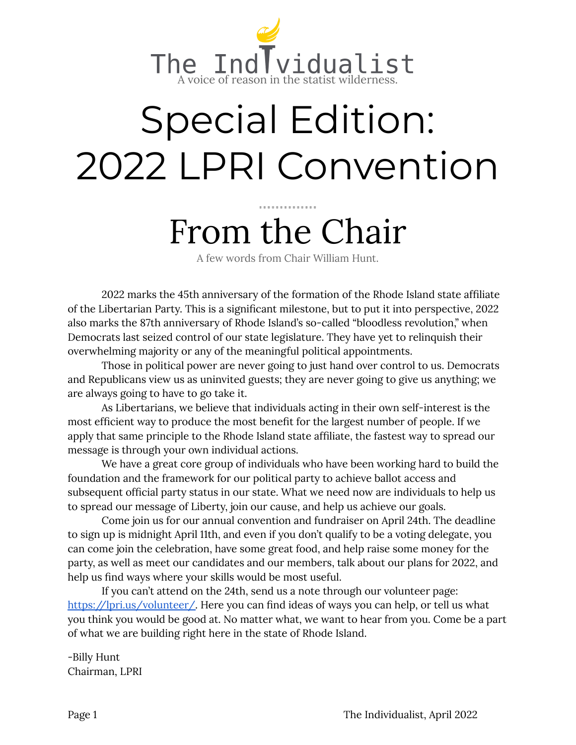

# Special Edition: 2022 LPRI Convention

## From the Chair

A few words from Chair William Hunt.

2022 marks the 45th anniversary of the formation of the Rhode Island state affiliate of the Libertarian Party. This is a significant milestone, but to put it into perspective, 2022 also marks the 87th anniversary of Rhode Island's so-called "bloodless revolution," when Democrats last seized control of our state legislature. They have yet to relinquish their overwhelming majority or any of the meaningful political appointments.

Those in political power are never going to just hand over control to us. Democrats and Republicans view us as uninvited guests; they are never going to give us anything; we are always going to have to go take it.

As Libertarians, we believe that individuals acting in their own self-interest is the most efficient way to produce the most benefit for the largest number of people. If we apply that same principle to the Rhode Island state affiliate, the fastest way to spread our message is through your own individual actions.

We have a great core group of individuals who have been working hard to build the foundation and the framework for our political party to achieve ballot access and subsequent official party status in our state. What we need now are individuals to help us to spread our message of Liberty, join our cause, and help us achieve our goals.

Come join us for our annual convention and fundraiser on April 24th. The deadline to sign up is midnight April 11th, and even if you don't qualify to be a voting delegate, you can come join the celebration, have some great food, and help raise some money for the party, as well as meet our candidates and our members, talk about our plans for 2022, and help us find ways where your skills would be most useful.

If you can't attend on the 24th, send us a note through our volunteer page[:](https://lpri.us/volunteer/) [https://lpri.us/volunteer/.](https://lpri.us/volunteer/) Here you can find ideas of ways you can help, or tell us what you think you would be good at. No matter what, we want to hear from you. Come be a part of what we are building right here in the state of Rhode Island.

-Billy Hunt Chairman, LPRI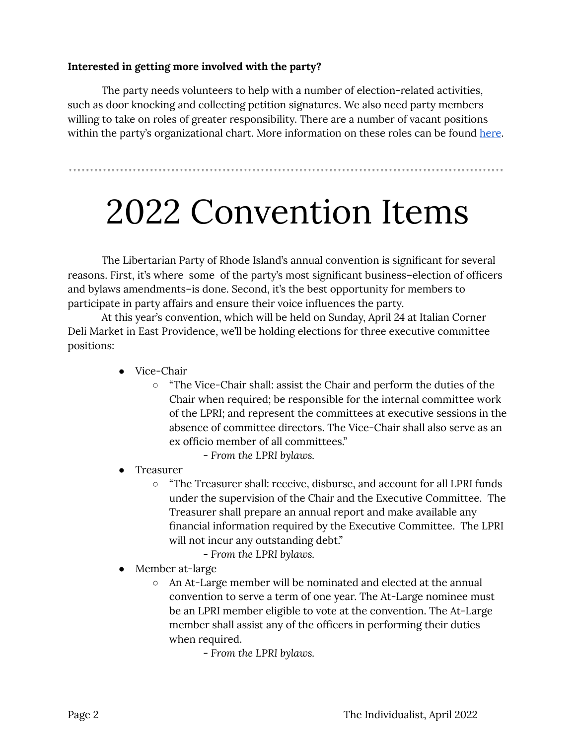#### **Interested in getting more involved with the party?**

The party needs volunteers to help with a number of election-related activities, such as door knocking and collecting petition signatures. We also need party members willing to take on roles of greater responsibility. There are a number of vacant positions within the party's organizational chart. More information on these roles can be found [here](https://lpri.us/about-lpri/officers-staff/).

#### 

## 2022 Convention Items

The Libertarian Party of Rhode Island's annual convention is significant for several reasons. First, it's where some of the party's most significant business–election of officers and bylaws amendments–is done. Second, it's the best opportunity for members to participate in party affairs and ensure their voice influences the party.

At this year's convention, which will be held on Sunday, April 24 at Italian Corner Deli Market in East Providence, we'll be holding elections for three executive committee positions:

- Vice-Chair
	- "The Vice-Chair shall: assist the Chair and perform the duties of the Chair when required; be responsible for the internal committee work of the LPRI; and represent the committees at executive sessions in the absence of committee directors. The Vice-Chair shall also serve as an ex officio member of all committees."
		- *From the LPRI bylaws.*
- **Treasurer** 
	- "The Treasurer shall: receive, disburse, and account for all LPRI funds under the supervision of the Chair and the Executive Committee. The Treasurer shall prepare an annual report and make available any financial information required by the Executive Committee. The LPRI will not incur any outstanding debt."
		- *From the LPRI bylaws.*
- Member at-large
	- An At-Large member will be nominated and elected at the annual convention to serve a term of one year. The At-Large nominee must be an LPRI member eligible to vote at the convention. The At-Large member shall assist any of the officers in performing their duties when required.

- *From the LPRI bylaws.*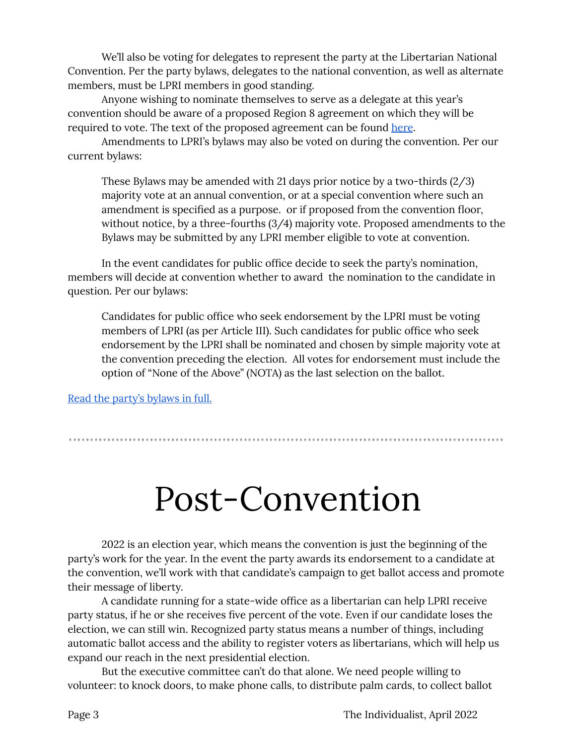We'll also be voting for delegates to represent the party at the Libertarian National Convention. Per the party bylaws, delegates to the national convention, as well as alternate members, must be LPRI members in good standing.

Anyone wishing to nominate themselves to serve as a delegate at this year's convention should be aware of a proposed Region 8 agreement on which they will be required to vote. The text of the proposed agreement can be found [here](https://lpri.us/wp-content/uploads/2022/04/2022-Proposed-Agreement-of-Voluntary-Association-R8.pdf).

Amendments to LPRI's bylaws may also be voted on during the convention. Per our current bylaws:

These Bylaws may be amended with 21 days prior notice by a two-thirds (2/3) majority vote at an annual convention, or at a special convention where such an amendment is specified as a purpose. or if proposed from the convention floor, without notice, by a three-fourths (3/4) majority vote. Proposed amendments to the Bylaws may be submitted by any LPRI member eligible to vote at convention.

In the event candidates for public office decide to seek the party's nomination, members will decide at convention whether to award the nomination to the candidate in question. Per our bylaws:

Candidates for public office who seek endorsement by the LPRI must be voting members of LPRI (as per Article III). Such candidates for public office who seek endorsement by the LPRI shall be nominated and chosen by simple majority vote at the convention preceding the election. All votes for endorsement must include the option of "None of the Above" (NOTA) as the last selection on the ballot.

Read the party's [bylaws](https://lpri.us/about-lpri/bylaws-of-the-libertarian-party-of-rhode-island/) in full.

### Post-Convention

2022 is an election year, which means the convention is just the beginning of the party's work for the year. In the event the party awards its endorsement to a candidate at the convention, we'll work with that candidate's campaign to get ballot access and promote their message of liberty.

A candidate running for a state-wide office as a libertarian can help LPRI receive party status, if he or she receives five percent of the vote. Even if our candidate loses the election, we can still win. Recognized party status means a number of things, including automatic ballot access and the ability to register voters as libertarians, which will help us expand our reach in the next presidential election.

But the executive committee can't do that alone. We need people willing to volunteer: to knock doors, to make phone calls, to distribute palm cards, to collect ballot